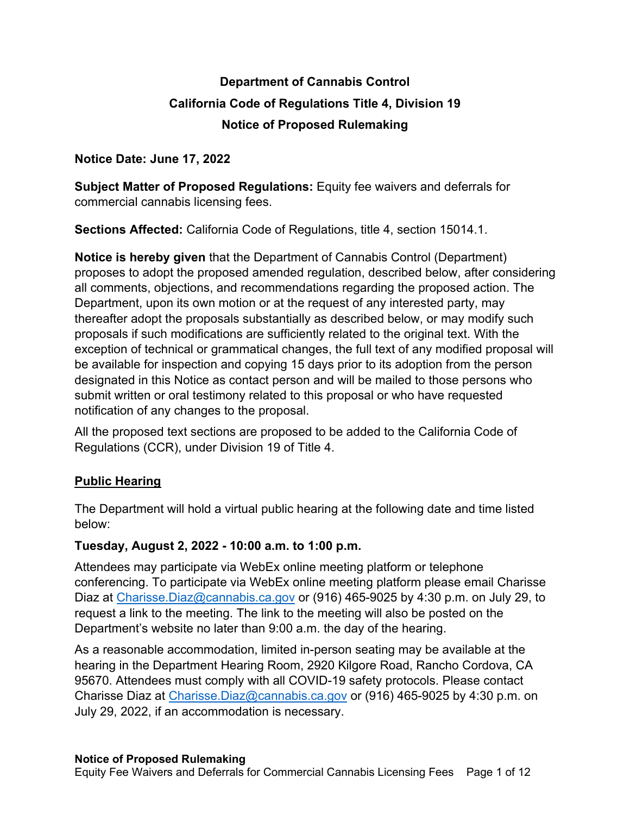# **Department of Cannabis Control California Code of Regulations Title 4, Division 19 Notice of Proposed Rulemaking**

#### **Notice Date: June 17, 2022**

 **Subject Matter of Proposed Regulations:** Equity fee waivers and deferrals for commercial cannabis licensing fees.

**Sections Affected:** California Code of Regulations, title 4, section 15014.1.

 **Notice is hereby given** that the Department of Cannabis Control (Department) proposes to adopt the proposed amended regulation, described below, after considering all comments, objections, and recommendations regarding the proposed action. The Department, upon its own motion or at the request of any interested party, may thereafter adopt the proposals substantially as described below, or may modify such proposals if such modifications are sufficiently related to the original text. With the exception of technical or grammatical changes, the full text of any modified proposal will be available for inspection and copying 15 days prior to its adoption from the person designated in this Notice as contact person and will be mailed to those persons who submit written or oral testimony related to this proposal or who have requested notification of any changes to the proposal.

 All the proposed text sections are proposed to be added to the California Code of Regulations (CCR), under Division 19 of Title 4.

## **Public Hearing**

 The Department will hold a virtual public hearing at the following date and time listed below:

#### **Tuesday, August 2, 2022 - 10:00 a.m. to 1:00 p.m.**

 Attendees may participate via WebEx online meeting platform or telephone conferencing. To participate via WebEx online meeting platform please email Charisse Diaz at [Charisse.Diaz@cannabis.ca.gov](mailto:Charisse.Diaz@cannabis.ca.gov) or (916) 465-9025 by 4:30 p.m. on July 29, to request a link to the meeting. The link to the meeting will also be posted on the Department's website no later than 9:00 a.m. the day of the hearing.

 As a reasonable accommodation, limited in-person seating may be available at the hearing in the Department Hearing Room, 2920 Kilgore Road, Rancho Cordova, CA 95670. Attendees must comply with all COVID-19 safety protocols. Please contact Charisse Diaz at *Charisse.Diaz@cannabis.ca.gov* or (916) 465-9025 by 4:30 p.m. on July 29, 2022, if an accommodation is necessary.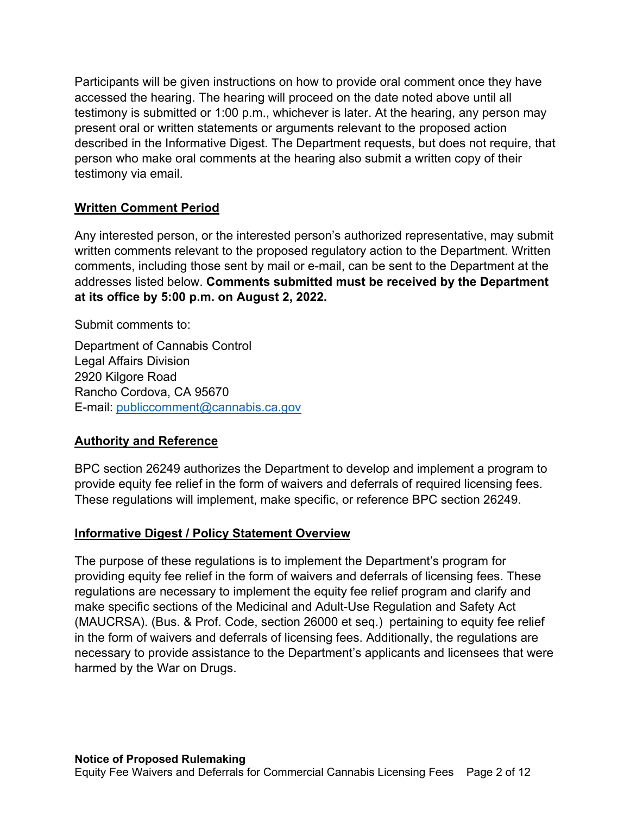Participants will be given instructions on how to provide oral comment once they have accessed the hearing. The hearing will proceed on the date noted above until all testimony is submitted or 1:00 p.m., whichever is later. At the hearing, any person may present oral or written statements or arguments relevant to the proposed action described in the Informative Digest. The Department requests, but does not require, that person who make oral comments at the hearing also submit a written copy of their testimony via email.

## **Written Comment Period**

 Any interested person, or the interested person's authorized representative, may submit written comments relevant to the proposed regulatory action to the Department. Written comments, including those sent by mail or e-mail, can be sent to the Department at the  addresses listed below. **Comments submitted must be received by the Department at its office by 5:00 p.m. on August 2, 2022.** 

Submit comments to:

 Department of Cannabis Control 2920 Kilgore Road Rancho Cordova, CA 95670 E-mail: publiccomment@cannabis.ca.gov Legal Affairs Division

## **Authority and Reference**

 BPC section 26249 authorizes the Department to develop and implement a program to provide equity fee relief in the form of waivers and deferrals of required licensing fees. These regulations will implement, make specific, or reference BPC section 26249.

## **Informative Digest / Policy Statement Overview**

 The purpose of these regulations is to implement the Department's program for providing equity fee relief in the form of waivers and deferrals of licensing fees. These regulations are necessary to implement the equity fee relief program and clarify and make specific sections of the Medicinal and Adult-Use Regulation and Safety Act (MAUCRSA). (Bus. & Prof. Code, section 26000 et seq.) pertaining to equity fee relief in the form of waivers and deferrals of licensing fees. Additionally, the regulations are necessary to provide assistance to the Department's applicants and licensees that were harmed by the War on Drugs.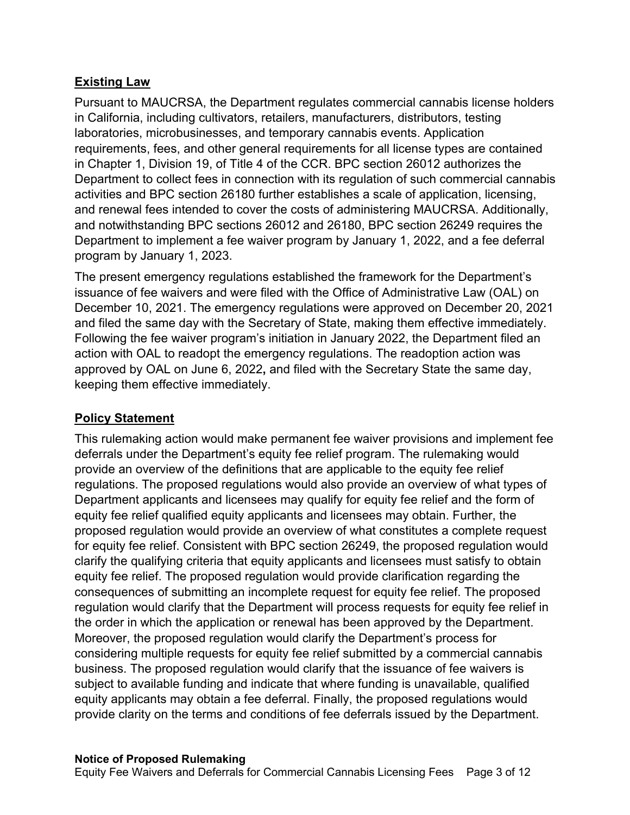#### **Existing Law**

 Pursuant to MAUCRSA, the Department regulates commercial cannabis license holders in California, including cultivators, retailers, manufacturers, distributors, testing laboratories, microbusinesses, and temporary cannabis events. Application requirements, fees, and other general requirements for all license types are contained in Chapter 1, Division 19, of Title 4 of the CCR. BPC section 26012 authorizes the Department to collect fees in connection with its regulation of such commercial cannabis activities and BPC section 26180 further establishes a scale of application, licensing, and renewal fees intended to cover the costs of administering MAUCRSA. Additionally, and notwithstanding BPC sections 26012 and 26180, BPC section 26249 requires the Department to implement a fee waiver program by January 1, 2022, and a fee deferral program by January 1, 2023.

 The present emergency regulations established the framework for the Department's issuance of fee waivers and were filed with the Office of Administrative Law (OAL) on December 10, 2021. The emergency regulations were approved on December 20, 2021 and filed the same day with the Secretary of State, making them effective immediately. Following the fee waiver program's initiation in January 2022, the Department filed an action with OAL to readopt the emergency regulations. The readoption action was approved by OAL on June 6, 2022**,** and filed with the Secretary State the same day, keeping them effective immediately.

## **Policy Statement**

 This rulemaking action would make permanent fee waiver provisions and implement fee deferrals under the Department's equity fee relief program. The rulemaking would provide an overview of the definitions that are applicable to the equity fee relief regulations. The proposed regulations would also provide an overview of what types of Department applicants and licensees may qualify for equity fee relief and the form of equity fee relief qualified equity applicants and licensees may obtain. Further, the proposed regulation would provide an overview of what constitutes a complete request for equity fee relief. Consistent with BPC section 26249, the proposed regulation would clarify the qualifying criteria that equity applicants and licensees must satisfy to obtain equity fee relief. The proposed regulation would provide clarification regarding the consequences of submitting an incomplete request for equity fee relief. The proposed regulation would clarify that the Department will process requests for equity fee relief in the order in which the application or renewal has been approved by the Department. Moreover, the proposed regulation would clarify the Department's process for considering multiple requests for equity fee relief submitted by a commercial cannabis business. The proposed regulation would clarify that the issuance of fee waivers is subject to available funding and indicate that where funding is unavailable, qualified equity applicants may obtain a fee deferral. Finally, the proposed regulations would provide clarity on the terms and conditions of fee deferrals issued by the Department.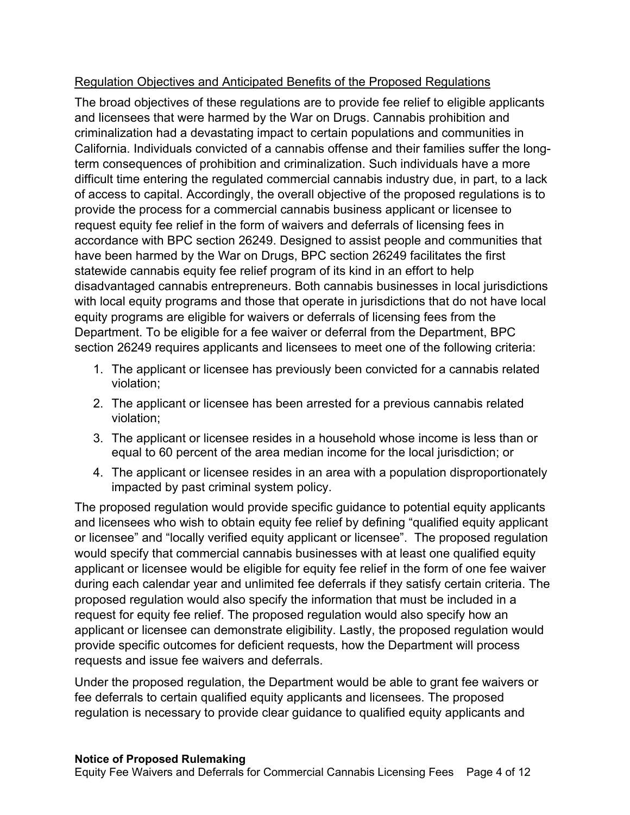## Regulation Objectives and Anticipated Benefits of the Proposed Regulations

 The broad objectives of these regulations are to provide fee relief to eligible applicants and licensees that were harmed by the War on Drugs. Cannabis prohibition and criminalization had a devastating impact to certain populations and communities in California. Individuals convicted of a cannabis offense and their families suffer the long- term consequences of prohibition and criminalization. Such individuals have a more difficult time entering the regulated commercial cannabis industry due, in part, to a lack of access to capital. Accordingly, the overall objective of the proposed regulations is to provide the process for a commercial cannabis business applicant or licensee to request equity fee relief in the form of waivers and deferrals of licensing fees in accordance with BPC section 26249. Designed to assist people and communities that have been harmed by the War on Drugs, BPC section 26249 facilitates the first statewide cannabis equity fee relief program of its kind in an effort to help disadvantaged cannabis entrepreneurs. Both cannabis businesses in local jurisdictions with local equity programs and those that operate in jurisdictions that do not have local equity programs are eligible for waivers or deferrals of licensing fees from the Department. To be eligible for a fee waiver or deferral from the Department, BPC section 26249 requires applicants and licensees to meet one of the following criteria:

- 1. The applicant or licensee has previously been convicted for a cannabis related violation;
- violation; 2. The applicant or licensee has been arrested for a previous cannabis related violation:
- violation; 3. The applicant or licensee resides in a household whose income is less than or equal to 60 percent of the area median income for the local jurisdiction; or
- 4. The applicant or licensee resides in an area with a population disproportionately impacted by past criminal system policy.

 The proposed regulation would provide specific guidance to potential equity applicants and licensees who wish to obtain equity fee relief by defining "qualified equity applicant or licensee" and "locally verified equity applicant or licensee". The proposed regulation would specify that commercial cannabis businesses with at least one qualified equity applicant or licensee would be eligible for equity fee relief in the form of one fee waiver during each calendar year and unlimited fee deferrals if they satisfy certain criteria. The proposed regulation would also specify the information that must be included in a request for equity fee relief. The proposed regulation would also specify how an applicant or licensee can demonstrate eligibility. Lastly, the proposed regulation would provide specific outcomes for deficient requests, how the Department will process requests and issue fee waivers and deferrals.

 Under the proposed regulation, the Department would be able to grant fee waivers or fee deferrals to certain qualified equity applicants and licensees. The proposed regulation is necessary to provide clear guidance to qualified equity applicants and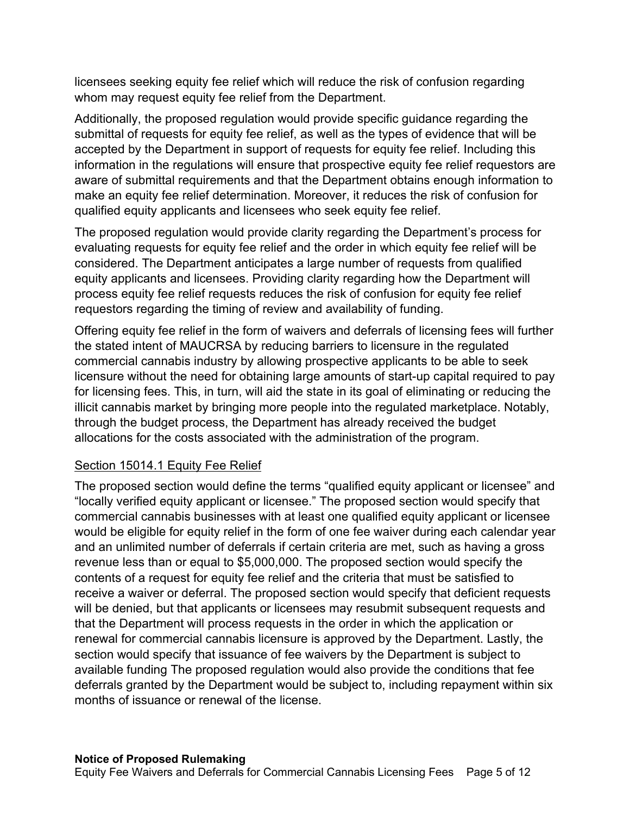licensees seeking equity fee relief which will reduce the risk of confusion regarding whom may request equity fee relief from the Department.

 Additionally, the proposed regulation would provide specific guidance regarding the submittal of requests for equity fee relief, as well as the types of evidence that will be accepted by the Department in support of requests for equity fee relief. Including this information in the regulations will ensure that prospective equity fee relief requestors are aware of submittal requirements and that the Department obtains enough information to make an equity fee relief determination. Moreover, it reduces the risk of confusion for qualified equity applicants and licensees who seek equity fee relief.

 The proposed regulation would provide clarity regarding the Department's process for evaluating requests for equity fee relief and the order in which equity fee relief will be considered. The Department anticipates a large number of requests from qualified equity applicants and licensees. Providing clarity regarding how the Department will process equity fee relief requests reduces the risk of confusion for equity fee relief requestors regarding the timing of review and availability of funding.

 Offering equity fee relief in the form of waivers and deferrals of licensing fees will further the stated intent of MAUCRSA by reducing barriers to licensure in the regulated commercial cannabis industry by allowing prospective applicants to be able to seek licensure without the need for obtaining large amounts of start-up capital required to pay for licensing fees. This, in turn, will aid the state in its goal of eliminating or reducing the illicit cannabis market by bringing more people into the regulated marketplace. Notably, through the budget process, the Department has already received the budget allocations for the costs associated with the administration of the program.

## Section 15014.1 Equity Fee Relief

 The proposed section would define the terms "qualified equity applicant or licensee" and "locally verified equity applicant or licensee." The proposed section would specify that commercial cannabis businesses with at least one qualified equity applicant or licensee would be eligible for equity relief in the form of one fee waiver during each calendar year and an unlimited number of deferrals if certain criteria are met, such as having a gross revenue less than or equal to \$5,000,000. The proposed section would specify the contents of a request for equity fee relief and the criteria that must be satisfied to receive a waiver or deferral. The proposed section would specify that deficient requests will be denied, but that applicants or licensees may resubmit subsequent requests and that the Department will process requests in the order in which the application or renewal for commercial cannabis licensure is approved by the Department. Lastly, the section would specify that issuance of fee waivers by the Department is subject to available funding The proposed regulation would also provide the conditions that fee deferrals granted by the Department would be subject to, including repayment within six months of issuance or renewal of the license.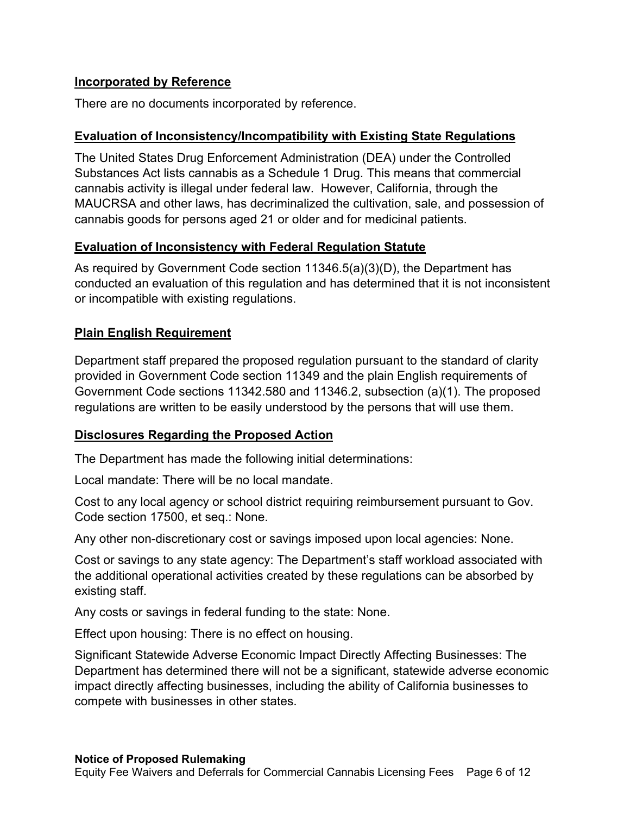#### **Incorporated by Reference**

There are no documents incorporated by reference.

#### **Evaluation of Inconsistency/Incompatibility with Existing State Regulations**

 The United States Drug Enforcement Administration (DEA) under the Controlled Substances Act lists cannabis as a Schedule 1 Drug. This means that commercial cannabis activity is illegal under federal law. However, California, through the MAUCRSA and other laws, has decriminalized the cultivation, sale, and possession of cannabis goods for persons aged 21 or older and for medicinal patients.

## **Evaluation of Inconsistency with Federal Regulation Statute**

 As required by Government Code section 11346.5(a)(3)(D), the Department has conducted an evaluation of this regulation and has determined that it is not inconsistent or incompatible with existing regulations.

## **Plain English Requirement**

 Department staff prepared the proposed regulation pursuant to the standard of clarity provided in Government Code section 11349 and the plain English requirements of Government Code sections 11342.580 and 11346.2, subsection (a)(1). The proposed regulations are written to be easily understood by the persons that will use them.

## **Disclosures Regarding the Proposed Action**

The Department has made the following initial determinations:

Local mandate: There will be no local mandate.

 Cost to any local agency or school district requiring reimbursement pursuant to Gov. Code section 17500, et seq.: None.

Any other non-discretionary cost or savings imposed upon local agencies: None.

 Cost or savings to any state agency: The Department's staff workload associated with the additional operational activities created by these regulations can be absorbed by existing staff.

Any costs or savings in federal funding to the state: None.

Effect upon housing: There is no effect on housing.

 Significant Statewide Adverse Economic Impact Directly Affecting Businesses: The Department has determined there will not be a significant, statewide adverse economic impact directly affecting businesses, including the ability of California businesses to compete with businesses in other states.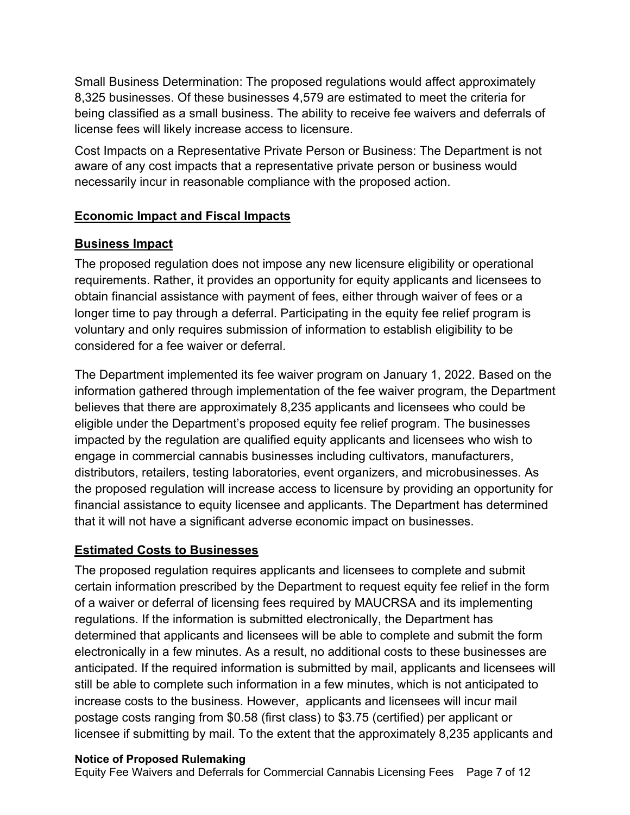Small Business Determination: The proposed regulations would affect approximately 8,325 businesses. Of these businesses 4,579 are estimated to meet the criteria for being classified as a small business. The ability to receive fee waivers and deferrals of license fees will likely increase access to licensure.

 Cost Impacts on a Representative Private Person or Business: The Department is not aware of any cost impacts that a representative private person or business would necessarily incur in reasonable compliance with the proposed action.

## **Economic Impact and Fiscal Impacts**

## **Business Impact**

 The proposed regulation does not impose any new licensure eligibility or operational requirements. Rather, it provides an opportunity for equity applicants and licensees to obtain financial assistance with payment of fees, either through waiver of fees or a longer time to pay through a deferral. Participating in the equity fee relief program is voluntary and only requires submission of information to establish eligibility to be considered for a fee waiver or deferral.

 The Department implemented its fee waiver program on January 1, 2022. Based on the information gathered through implementation of the fee waiver program, the Department believes that there are approximately 8,235 applicants and licensees who could be eligible under the Department's proposed equity fee relief program. The businesses impacted by the regulation are qualified equity applicants and licensees who wish to engage in commercial cannabis businesses including cultivators, manufacturers, distributors, retailers, testing laboratories, event organizers, and microbusinesses. As the proposed regulation will increase access to licensure by providing an opportunity for financial assistance to equity licensee and applicants. The Department has determined that it will not have a significant adverse economic impact on businesses.

## **Estimated Costs to Businesses**

 The proposed regulation requires applicants and licensees to complete and submit certain information prescribed by the Department to request equity fee relief in the form of a waiver or deferral of licensing fees required by MAUCRSA and its implementing regulations. If the information is submitted electronically, the Department has determined that applicants and licensees will be able to complete and submit the form electronically in a few minutes. As a result, no additional costs to these businesses are anticipated. If the required information is submitted by mail, applicants and licensees will still be able to complete such information in a few minutes, which is not anticipated to increase costs to the business. However, applicants and licensees will incur mail postage costs ranging from \$0.58 (first class) to \$3.75 (certified) per applicant or licensee if submitting by mail. To the extent that the approximately 8,235 applicants and

## **Notice of Proposed Rulemaking**

Equity Fee Waivers and Deferrals for Commercial Cannabis Licensing Fees Page 7 of 12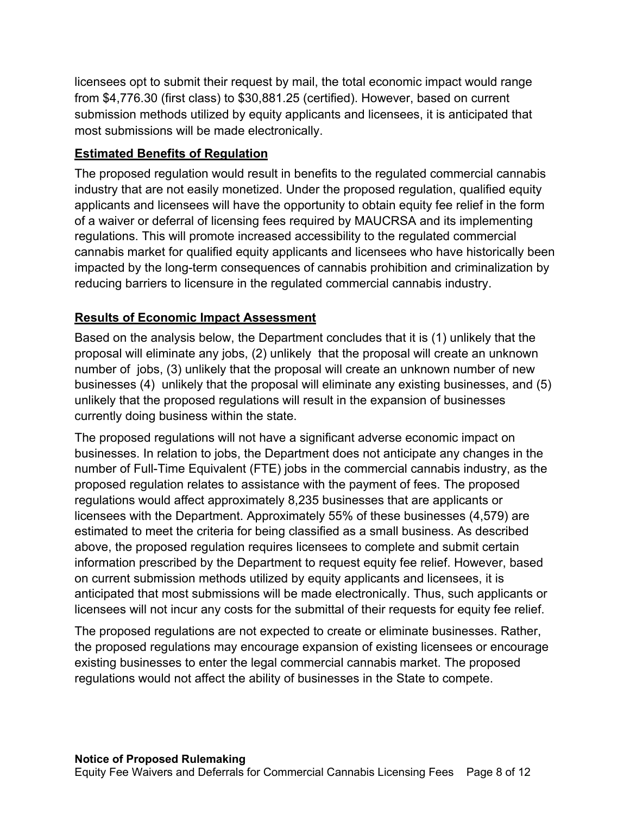licensees opt to submit their request by mail, the total economic impact would range from \$[4,776.30](https://4,776.30) (first class) to \$[30,881.25](https://30,881.25) (certified). However, based on current submission methods utilized by equity applicants and licensees, it is anticipated that most submissions will be made electronically.

## **Estimated Benefits of Regulation**

 The proposed regulation would result in benefits to the regulated commercial cannabis industry that are not easily monetized. Under the proposed regulation, qualified equity applicants and licensees will have the opportunity to obtain equity fee relief in the form of a waiver or deferral of licensing fees required by MAUCRSA and its implementing regulations. This will promote increased accessibility to the regulated commercial cannabis market for qualified equity applicants and licensees who have historically been impacted by the long-term consequences of cannabis prohibition and criminalization by reducing barriers to licensure in the regulated commercial cannabis industry.

# **Results of Economic Impact Assessment**

 Based on the analysis below, the Department concludes that it is (1) unlikely that the proposal will eliminate any jobs, (2) unlikely that the proposal will create an unknown number of jobs, (3) unlikely that the proposal will create an unknown number of new businesses (4) unlikely that the proposal will eliminate any existing businesses, and (5) unlikely that the proposed regulations will result in the expansion of businesses currently doing business within the state.

 The proposed regulations will not have a significant adverse economic impact on businesses. In relation to jobs, the Department does not anticipate any changes in the number of Full-Time Equivalent (FTE) jobs in the commercial cannabis industry, as the proposed regulation relates to assistance with the payment of fees. The proposed regulations would affect approximately 8,235 businesses that are applicants or licensees with the Department. Approximately 55% of these businesses (4,579) are estimated to meet the criteria for being classified as a small business. As described above, the proposed regulation requires licensees to complete and submit certain information prescribed by the Department to request equity fee relief. However, based on current submission methods utilized by equity applicants and licensees, it is anticipated that most submissions will be made electronically. Thus, such applicants or licensees will not incur any costs for the submittal of their requests for equity fee relief.

 The proposed regulations are not expected to create or eliminate businesses. Rather, the proposed regulations may encourage expansion of existing licensees or encourage existing businesses to enter the legal commercial cannabis market. The proposed regulations would not affect the ability of businesses in the State to compete.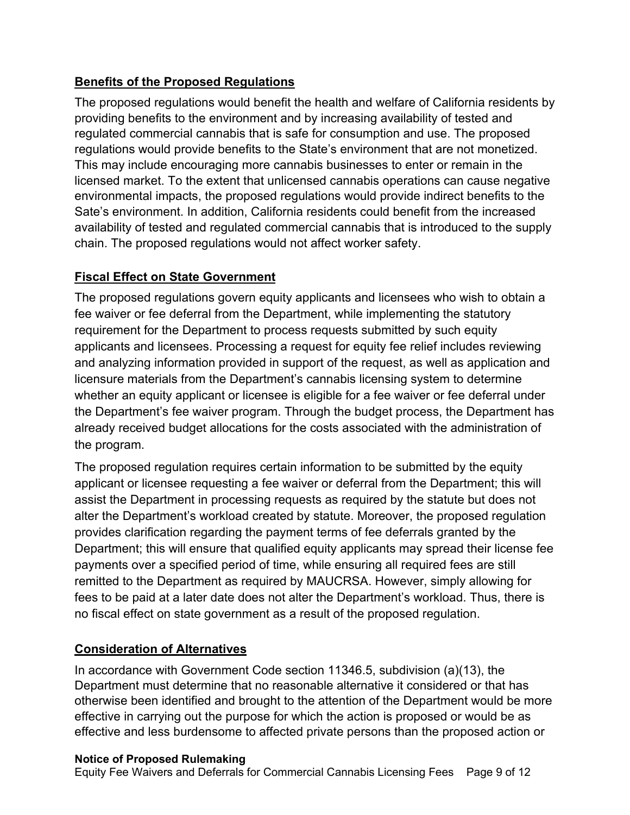# **Benefits of the Proposed Regulations**

 The proposed regulations would benefit the health and welfare of California residents by providing benefits to the environment and by increasing availability of tested and regulated commercial cannabis that is safe for consumption and use. The proposed regulations would provide benefits to the State's environment that are not monetized. This may include encouraging more cannabis businesses to enter or remain in the licensed market. To the extent that unlicensed cannabis operations can cause negative environmental impacts, the proposed regulations would provide indirect benefits to the Sate's environment. In addition, California residents could benefit from the increased availability of tested and regulated commercial cannabis that is introduced to the supply chain. The proposed regulations would not affect worker safety.

## **Fiscal Effect on State Government**

 The proposed regulations govern equity applicants and licensees who wish to obtain a fee waiver or fee deferral from the Department, while implementing the statutory requirement for the Department to process requests submitted by such equity applicants and licensees. Processing a request for equity fee relief includes reviewing and analyzing information provided in support of the request, as well as application and licensure materials from the Department's cannabis licensing system to determine whether an equity applicant or licensee is eligible for a fee waiver or fee deferral under the Department's fee waiver program. Through the budget process, the Department has already received budget allocations for the costs associated with the administration of the program.

 The proposed regulation requires certain information to be submitted by the equity applicant or licensee requesting a fee waiver or deferral from the Department; this will assist the Department in processing requests as required by the statute but does not alter the Department's workload created by statute. Moreover, the proposed regulation provides clarification regarding the payment terms of fee deferrals granted by the Department; this will ensure that qualified equity applicants may spread their license fee payments over a specified period of time, while ensuring all required fees are still remitted to the Department as required by MAUCRSA. However, simply allowing for fees to be paid at a later date does not alter the Department's workload. Thus, there is no fiscal effect on state government as a result of the proposed regulation.

# **Consideration of Alternatives**

 In accordance with Government Code section 11346.5, subdivision (a)(13), the Department must determine that no reasonable alternative it considered or that has otherwise been identified and brought to the attention of the Department would be more effective in carrying out the purpose for which the action is proposed or would be as effective and less burdensome to affected private persons than the proposed action or

## **Notice of Proposed Rulemaking**

Equity Fee Waivers and Deferrals for Commercial Cannabis Licensing Fees Page 9 of 12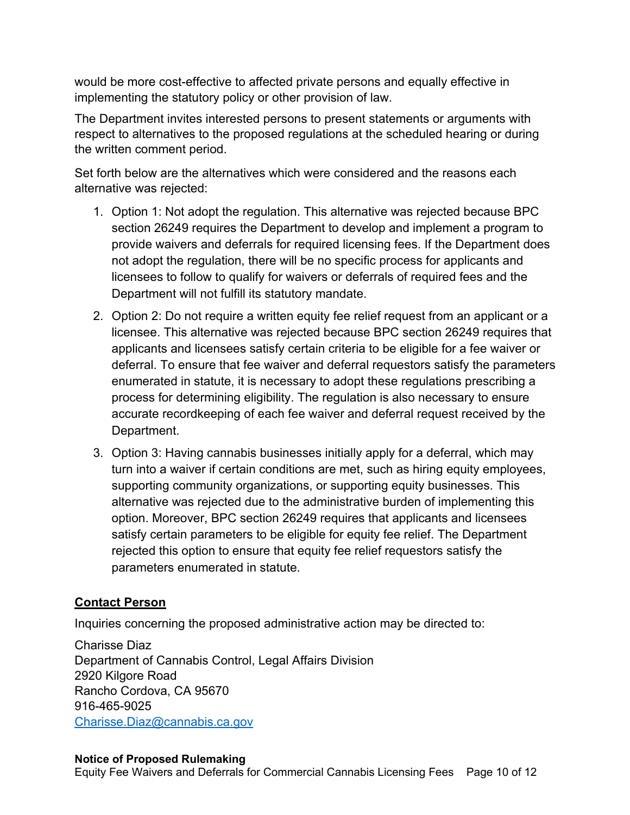would be more cost -effective to affected private persons and equally effective in implementing the statutory policy or other provision of law.

The Department invites interested persons to present statements or arguments with respect to alternatives to the proposed regulations at the scheduled hearing or during the written comment period.

Set forth below are the alternatives which were considered and the reasons each alternative was rejected:

- 1. Option 1: Not adopt the regulation. This alternative was rejected because BPC section 26249 requires the Department to develop and implement a program to provide waivers and deferrals for required licensing fees. If the Department does not adopt the regulation, there will be no specific process for applicants and licensees to follow to qualify for waivers or deferrals of required fees and the Department will not fulfill its statutory mandate.
- 2. Option 2: Do not require a written equity fee relief request from an applicant or a licensee. This alternative was rejected because BPC section 26249 requires that applicants and licensees satisfy certain criteria to be eligible for a fee waiver or deferral. To ensure that fee waiver and deferral requestors satisfy the parameters enumerated in statute, it is necessary to adopt these regulations prescribing a process for determining eligibility. The regulation is also necessary to ensure accurate recordkeeping of each fee waiver and deferral request received by the Department.
- 3. Option 3: Having cannabis businesses initially apply for a deferral, which may turn into a waiver if certain conditions are met, such as hiring equity employees, alternative was rejected due to the administrative burden of implementing this option. Moreover, BPC section 26249 requires that applicants and licensees satisfy certain parameters to be eligible for equity fee relief. The Department rejected this option to ensure that equity fee relief requestors satisfy the parameters enumerated in statute. supporting community organizations, or supporting equity businesses. This

## **Contact Person**

Inquiries concerning the proposed administrative action may be directed to:

 Charisse Diaz Department of Cannabis Control, Legal Affairs Division 2920 Kilgore Road Rancho Cordova, CA 95670 [Charisse.Diaz@cannabis.ca.gov](mailto:Charisse.Diaz@cannabis.ca.gov) 916-465-9025

#### **Notice of Proposed Rulemaking**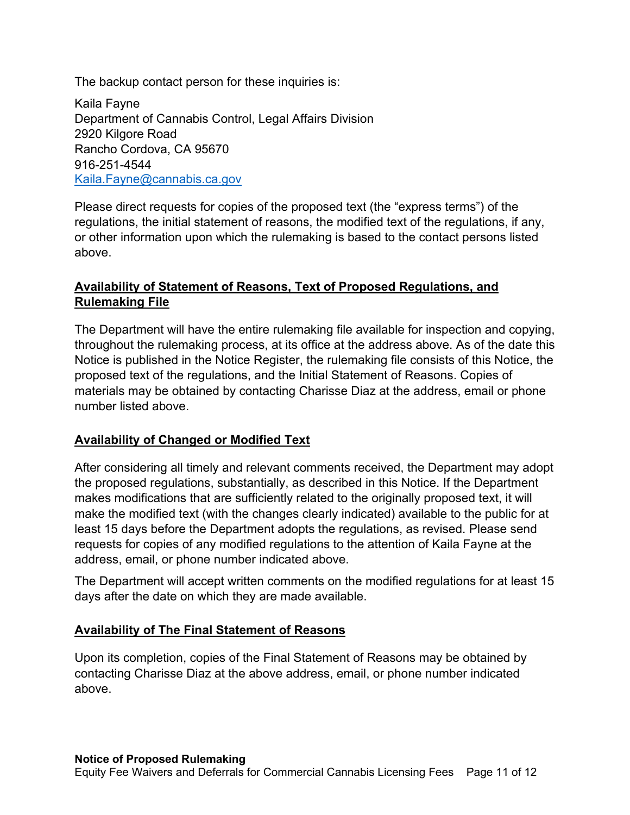The backup contact person for these inquiries is:

Kaila Fayne Department of Cannabis Control, Legal Affairs Division 2920 Kilgore Road Rancho Cordova, CA 95670 916-251-4544 [Kaila.Fayne@cannabis.ca.gov](mailto:Kaila.Fayne@cannabis.ca.gov)

Please direct requests for copies of the proposed text (the "express terms") of the regulations, the initial statement of reasons, the modified text of the regulations, if any, or other information upon which the rulemaking is based to the contact persons listed above.

## **Availability of Statement of Reasons, Text of Proposed Regulations, and Rulemaking File**

 The Department will have the entire rulemaking file available for inspection and copying, throughout the rulemaking process, at its office at the address above. As of the date this Notice is published in the Notice Register, the rulemaking file consists of this Notice, the proposed text of the regulations, and the Initial Statement of Reasons. Copies of materials may be obtained by contacting Charisse Diaz at the address, email or phone number listed above.

## **Availability of Changed or Modified Text**

 After considering all timely and relevant comments received, the Department may adopt the proposed regulations, substantially, as described in this Notice. If the Department makes modifications that are sufficiently related to the originally proposed text, it will make the modified text (with the changes clearly indicated) available to the public for at least 15 days before the Department adopts the regulations, as revised. Please send requests for copies of any modified regulations to the attention of Kaila Fayne at the address, email, or phone number indicated above.

 The Department will accept written comments on the modified regulations for at least 15 days after the date on which they are made available.

## **Availability of The Final Statement of Reasons**

 Upon its completion, copies of the Final Statement of Reasons may be obtained by contacting Charisse Diaz at the above address, email, or phone number indicated above.